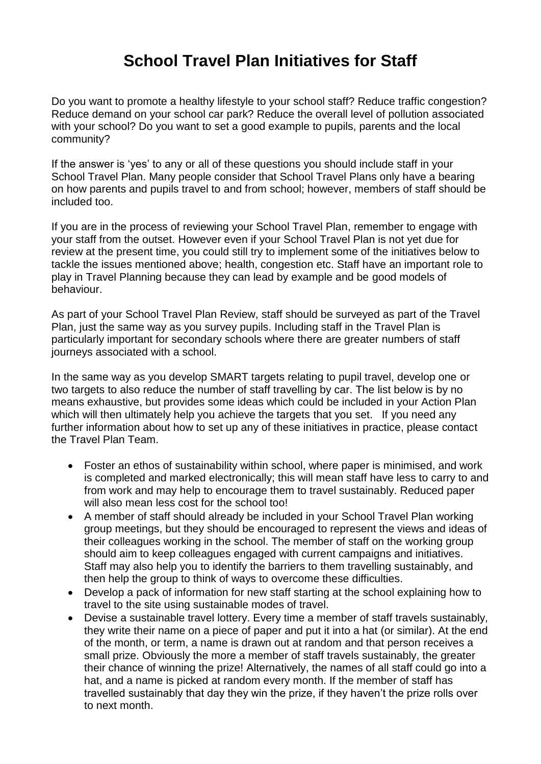## **School Travel Plan Initiatives for Staff**

Do you want to promote a healthy lifestyle to your school staff? Reduce traffic congestion? Reduce demand on your school car park? Reduce the overall level of pollution associated with your school? Do you want to set a good example to pupils, parents and the local community?

If the answer is 'yes' to any or all of these questions you should include staff in your School Travel Plan. Many people consider that School Travel Plans only have a bearing on how parents and pupils travel to and from school; however, members of staff should be included too.

If you are in the process of reviewing your School Travel Plan, remember to engage with your staff from the outset. However even if your School Travel Plan is not yet due for review at the present time, you could still try to implement some of the initiatives below to tackle the issues mentioned above; health, congestion etc. Staff have an important role to play in Travel Planning because they can lead by example and be good models of behaviour.

As part of your School Travel Plan Review, staff should be surveyed as part of the Travel Plan, just the same way as you survey pupils. Including staff in the Travel Plan is particularly important for secondary schools where there are greater numbers of staff journeys associated with a school.

In the same way as you develop SMART targets relating to pupil travel, develop one or two targets to also reduce the number of staff travelling by car. The list below is by no means exhaustive, but provides some ideas which could be included in your Action Plan which will then ultimately help you achieve the targets that you set. If you need any further information about how to set up any of these initiatives in practice, please contact the Travel Plan Team.

- Foster an ethos of sustainability within school, where paper is minimised, and work is completed and marked electronically; this will mean staff have less to carry to and from work and may help to encourage them to travel sustainably. Reduced paper will also mean less cost for the school too!
- A member of staff should already be included in your School Travel Plan working group meetings, but they should be encouraged to represent the views and ideas of their colleagues working in the school. The member of staff on the working group should aim to keep colleagues engaged with current campaigns and initiatives. Staff may also help you to identify the barriers to them travelling sustainably, and then help the group to think of ways to overcome these difficulties.
- Develop a pack of information for new staff starting at the school explaining how to travel to the site using sustainable modes of travel.
- Devise a sustainable travel lottery. Every time a member of staff travels sustainably, they write their name on a piece of paper and put it into a hat (or similar). At the end of the month, or term, a name is drawn out at random and that person receives a small prize. Obviously the more a member of staff travels sustainably, the greater their chance of winning the prize! Alternatively, the names of all staff could go into a hat, and a name is picked at random every month. If the member of staff has travelled sustainably that day they win the prize, if they haven't the prize rolls over to next month.